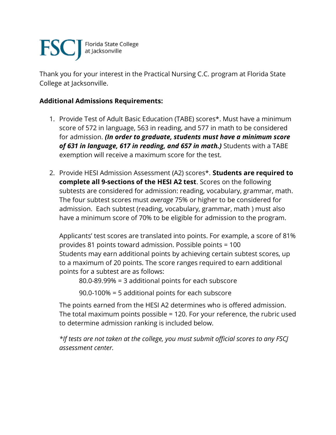

Thank you for your interest in the Practical Nursing C.C. program at Florida State College at Jacksonville.

## **Additional Admissions Requirements:**

- 1. Provide Test of Adult Basic Education (TABE) scores\*. Must have a minimum score of 572 in language, 563 in reading, and 577 in math to be considered for admission. *(In order to graduate, students must have a minimum score of 631 in language, 617 in reading, and 657 in math.)* Students with a TABE exemption will receive a maximum score for the test.
- 2. Provide HESI Admission Assessment (A2) scores\*. **Students are required to complete all 9-sections of the HESI A2 test**. Scores on the following subtests are considered for admission: reading, vocabulary, grammar, math. The four subtest scores must *average* 75% or higher to be considered for admission. Each subtest (reading, vocabulary, grammar, math ) must also have a minimum score of 70% to be eligible for admission to the program.

Applicants' test scores are translated into points. For example, a score of 81% provides 81 points toward admission. Possible points = 100 Students may earn additional points by achieving certain subtest scores, up to a maximum of 20 points. The score ranges required to earn additional points for a subtest are as follows:

80.0-89.99% = 3 additional points for each subscore

90.0-100% = 5 additional points for each subscore

The points earned from the HESI A2 determines who is offered admission. The total maximum points possible = 120. For your reference, the rubric used to determine admission ranking is included below.

*\*If tests are not taken at the college, you must submit official scores to any FSCJ assessment center.*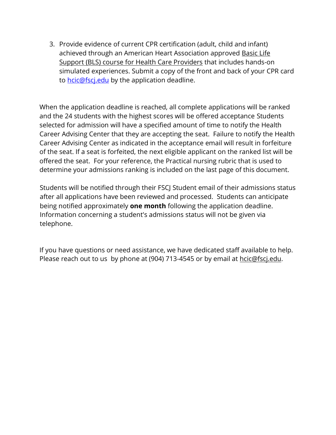3. Provide evidence of current CPR certification (adult, child and infant) achieved through an American Heart Association approved [Basic](http://www.heart.org/HEARTORG/CPRAndECC/HealthcareTraining/BasicLifeSupportBLS/Basic-Life-Support-BLS_UCM_001281_SubHomePage.jsp) Life Support (BLS) course for Health Care [Providers](http://www.heart.org/HEARTORG/CPRAndECC/HealthcareTraining/BasicLifeSupportBLS/Basic-Life-Support-BLS_UCM_001281_SubHomePage.jsp) that includes hands-on simulated experiences. Submit a copy of the front and back of your CPR card to **hcic**@fscj.edu by the application deadline.

When the application deadline is reached, all complete applications will be ranked and the 24 students with the highest scores will be offered acceptance Students selected for admission will have a specified amount of time to notify the Health Career Advising Center that they are accepting the seat. Failure to notify the Health Career Advising Center as indicated in the acceptance email will result in forfeiture of the seat. If a seat is forfeited, the next eligible applicant on the ranked list will be offered the seat. For your reference, the Practical nursing rubric that is used to determine your admissions ranking is included on the last page of this document.

Students will be notified through their FSCJ Student email of their admissions status after all applications have been reviewed and processed. Students can anticipate being notified approximately **one month** following the application deadline. Information concerning a student's admissions status will not be given via telephone.

If you have questions or need assistance, we have dedicated staff available to help. Please reach out to us by phone at (904) 713-4545 or by email at [hcic@fscj.edu.](mailto:hcic@fscj.edu)